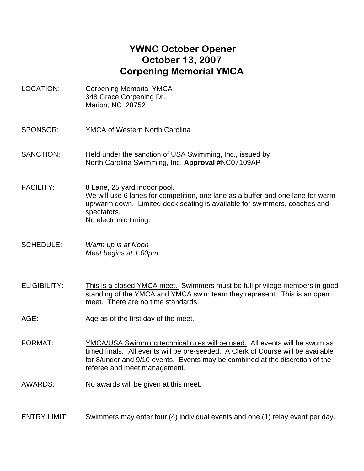## **YWNC October Opener October 13, 2007 Corpening Memorial YMCA**

- LOCATION: Corpening Memorial YMCA 348 Grace Corpening Dr. Marion, NC 28752
- SPONSOR: YMCA of Western North Carolina
- SANCTION: Held under the sanction of USA Swimming, Inc., issued by North Carolina Swimming, Inc. **Approval #**NC07109AP
- FACILITY: 8 Lane, 25 yard indoor pool. We will use 6 lanes for competition, one lane as a buffer and one lane for warm up/warm down. Limited deck seating is available for swimmers, coaches and spectators. No electronic timing.
- SCHEDULE: *Warm up is at Noon Meet begins at 1:00pm*
- ELIGIBILITY: This is a closed YMCA meet. Swimmers must be full privilege members in good standing of the YMCA and YMCA swim team they represent. This is an open meet. There are no time standards.
- AGE: Age as of the first day of the meet.
- FORMAT: YMCA/USA Swimming technical rules will be used. All events will be swum as timed finals. All events will be pre-seeded. A Clerk of Course will be available for 8/under and 9/10 events. Events may be combined at the discretion of the referee and meet management.
- AWARDS: No awards will be given at this meet.

ENTRY LIMIT: Swimmers may enter four (4) individual events and one (1) relay event per day.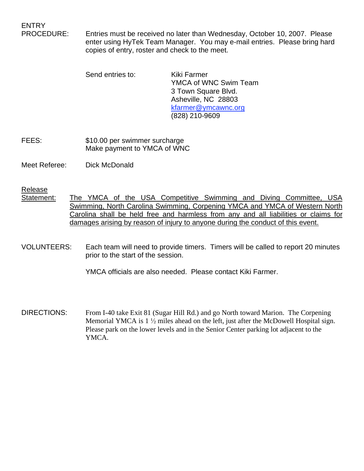ENTRY

PROCEDURE: Entries must be received no later than Wednesday, October 10, 2007. Please enter using HyTek Team Manager. You may e-mail entries. Please bring hard copies of entry, roster and check to the meet.

> Send entries to: Kiki Farmer YMCA of WNC Swim Team 3 Town Square Blvd. Asheville, NC 28803 kfarmer@ymcawnc.org (828) 210-9609

FEES: \$10.00 per swimmer surcharge Make payment to YMCA of WNC

Meet Referee: Dick McDonald

Release

- Statement: The YMCA of the USA Competitive Swimming and Diving Committee, USA Swimming, North Carolina Swimming, Corpening YMCA and YMCA of Western North Carolina shall be held free and harmless from any and all liabilities or claims for damages arising by reason of injury to anyone during the conduct of this event.
- VOLUNTEERS: Each team will need to provide timers. Timers will be called to report 20 minutes prior to the start of the session.

YMCA officials are also needed. Please contact Kiki Farmer.

DIRECTIONS: From I-40 take Exit 81 (Sugar Hill Rd.) and go North toward Marion. The Corpening Memorial YMCA is  $1\frac{1}{2}$  miles ahead on the left, just after the McDowell Hospital sign. Please park on the lower levels and in the Senior Center parking lot adjacent to the YMCA.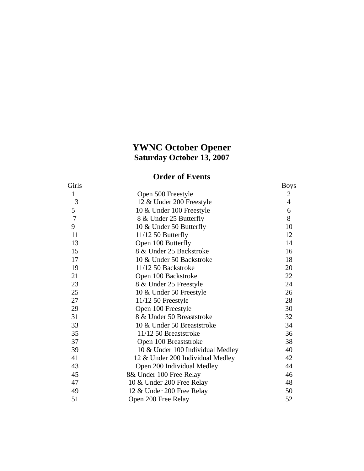## **YWNC October Opener Saturday October 13, 2007**

## **Order of Events**

| Girls |                                  | <b>Boys</b>    |
|-------|----------------------------------|----------------|
| 1     | Open 500 Freestyle               | $\mathbf{2}$   |
| 3     | 12 & Under 200 Freestyle         | $\overline{4}$ |
| 5     | 10 & Under 100 Freestyle         | 6              |
| 7     | 8 & Under 25 Butterfly           | 8              |
| 9     | 10 & Under 50 Butterfly          | 10             |
| 11    | $11/12$ 50 Butterfly             | 12             |
| 13    | Open 100 Butterfly               | 14             |
| 15    | 8 & Under 25 Backstroke          | 16             |
| 17    | 10 & Under 50 Backstroke         | 18             |
| 19    | 11/12 50 Backstroke              | 20             |
| 21    | Open 100 Backstroke              | 22             |
| 23    | 8 & Under 25 Freestyle           | 24             |
| 25    | 10 & Under 50 Freestyle          | 26             |
| 27    | 11/12 50 Freestyle               | 28             |
| 29    | Open 100 Freestyle               | 30             |
| 31    | 8 & Under 50 Breaststroke        | 32             |
| 33    | 10 & Under 50 Breaststroke       | 34             |
| 35    | 11/12 50 Breaststroke            | 36             |
| 37    | Open 100 Breaststroke            | 38             |
| 39    | 10 & Under 100 Individual Medley | 40             |
| 41    | 12 & Under 200 Individual Medley | 42             |
| 43    | Open 200 Individual Medley       | 44             |
| 45    | 8& Under 100 Free Relay          | 46             |
| 47    | 10 & Under 200 Free Relay        | 48             |
| 49    | 12 & Under 200 Free Relay        | 50             |
| 51    | Open 200 Free Relay              | 52             |